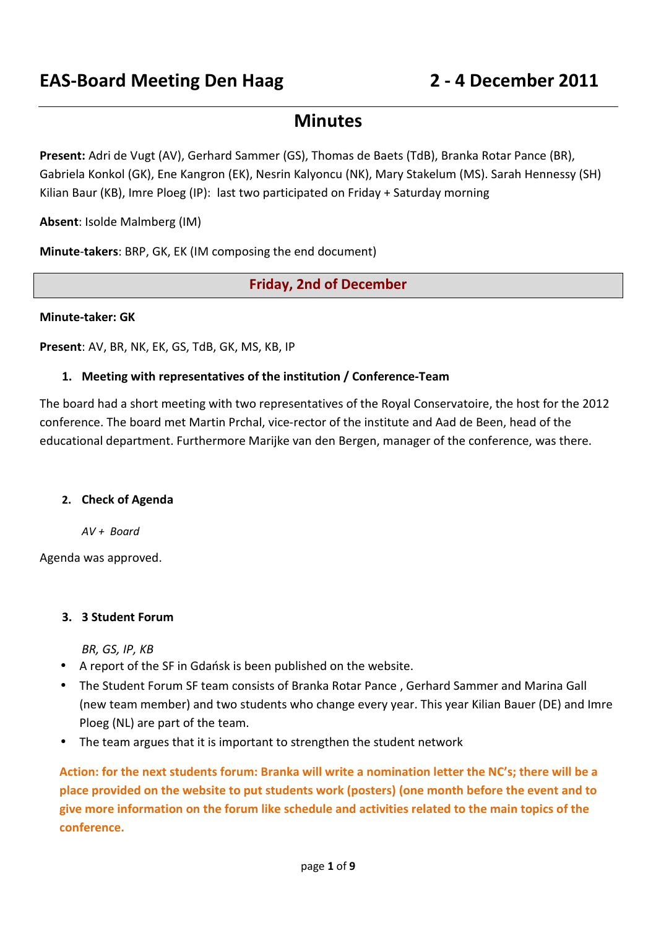# **Minutes**

**Present:** Adri de Vugt (AV), Gerhard Sammer (GS), Thomas de Baets (TdB), Branka Rotar Pance (BR), Gabriela Konkol (GK), Ene Kangron (EK), Nesrin Kalyoncu (NK), Mary Stakelum (MS). Sarah Hennessy (SH) Kilian Baur (KB), Imre Ploeg (IP): last two participated on Friday + Saturday morning

**Absent**: Isolde Malmberg (IM)

**Minute**-**takers**: BRP, GK, EK (IM composing the end document)

**Friday, 2nd of December** 

#### **Minute-taker: GK**

**Present**: AV, BR, NK, EK, GS, TdB, GK, MS, KB, IP

#### **1. Meeting with representatives of the institution / Conference-Team**

The board had a short meeting with two representatives of the Royal Conservatoire, the host for the 2012 conference. The board met Martin Prchal, vice-rector of the institute and Aad de Been, head of the educational department. Furthermore Marijke van den Bergen, manager of the conference, was there.

#### **2. Check of Agenda**

*AV + Board* 

Agenda was approved.

#### **3. 3 Student Forum**

*BR, GS, IP, KB* 

- A report of the SF in Gdańsk is been published on the website.
- The Student Forum SF team consists of Branka Rotar Pance , Gerhard Sammer and Marina Gall (new team member) and two students who change every year. This year Kilian Bauer (DE) and Imre Ploeg (NL) are part of the team.
- The team argues that it is important to strengthen the student network

**Action: for the next students forum: Branka will write a nomination letter the NC's; there will be a place provided on the website to put students work (posters) (one month before the event and to give more information on the forum like schedule and activities related to the main topics of the conference.**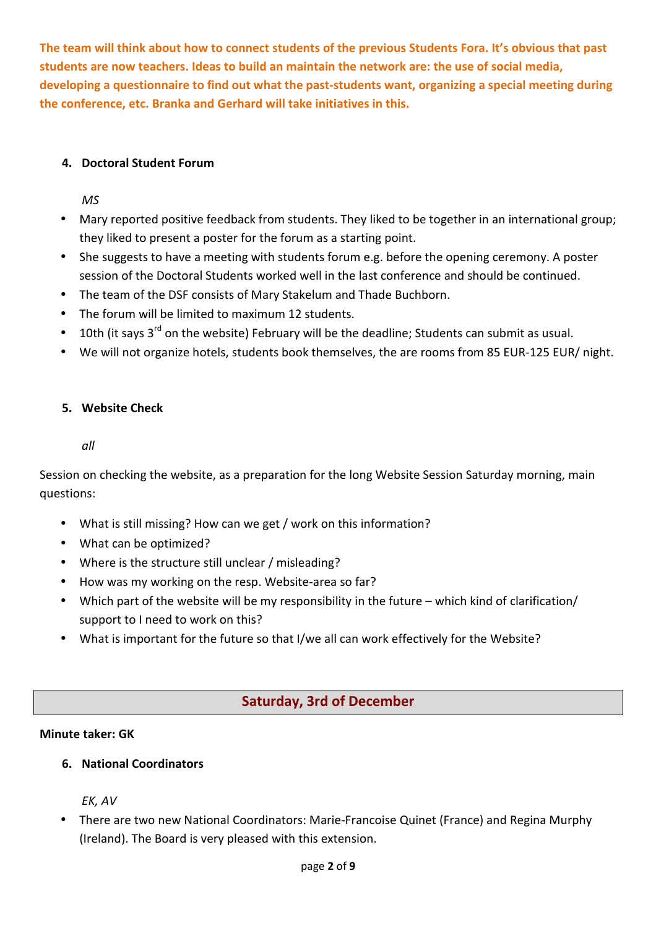**The team will think about how to connect students of the previous Students Fora. It's obvious that past students are now teachers. Ideas to build an maintain the network are: the use of social media, developing a questionnaire to find out what the past-students want, organizing a special meeting during the conference, etc. Branka and Gerhard will take initiatives in this.** 

# **4. Doctoral Student Forum**

*MS* 

- Mary reported positive feedback from students. They liked to be together in an international group; they liked to present a poster for the forum as a starting point.
- She suggests to have a meeting with students forum e.g. before the opening ceremony. A poster session of the Doctoral Students worked well in the last conference and should be continued.
- The team of the DSF consists of Mary Stakelum and Thade Buchborn.
- The forum will be limited to maximum 12 students.
- $\bullet$  10th (it says 3<sup>rd</sup> on the website) February will be the deadline; Students can submit as usual.
- We will not organize hotels, students book themselves, the are rooms from 85 EUR-125 EUR/ night.

## **5. Website Check**

*all* 

Session on checking the website, as a preparation for the long Website Session Saturday morning, main questions:

- What is still missing? How can we get / work on this information?
- What can be optimized?
- Where is the structure still unclear / misleading?
- How was my working on the resp. Website-area so far?
- Which part of the website will be my responsibility in the future which kind of clarification/ support to I need to work on this?
- What is important for the future so that I/we all can work effectively for the Website?

# **Saturday, 3rd of December**

## **Minute taker: GK**

**6. National Coordinators** 

*EK, AV* 

• There are two new National Coordinators: Marie-Francoise Quinet (France) and Regina Murphy (Ireland). The Board is very pleased with this extension.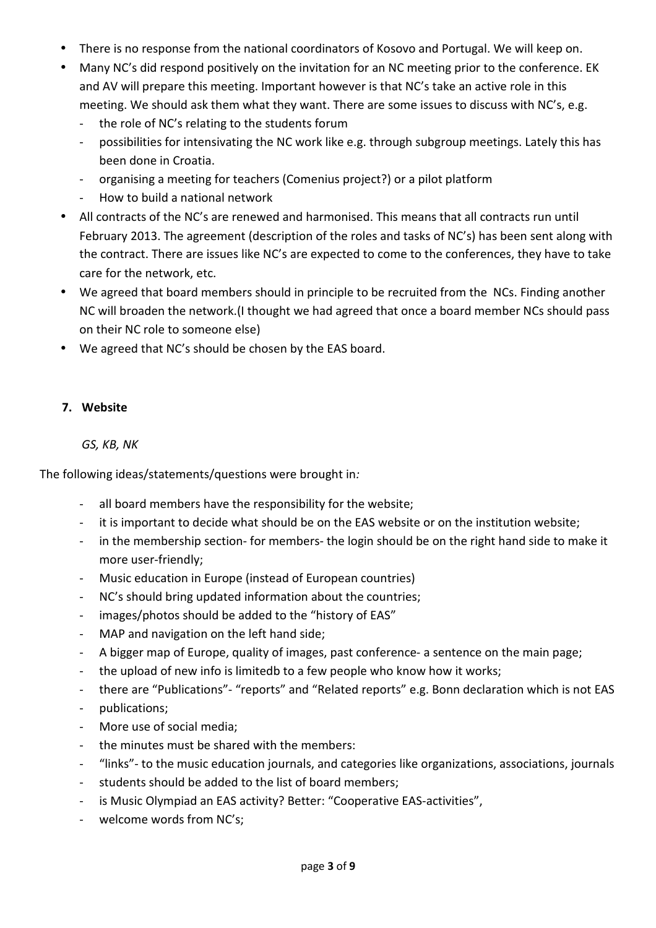- There is no response from the national coordinators of Kosovo and Portugal. We will keep on.
- Many NC's did respond positively on the invitation for an NC meeting prior to the conference. EK and AV will prepare this meeting. Important however is that NC's take an active role in this meeting. We should ask them what they want. There are some issues to discuss with NC's, e.g.
	- the role of NC's relating to the students forum
	- possibilities for intensivating the NC work like e.g. through subgroup meetings. Lately this has been done in Croatia.
	- organising a meeting for teachers (Comenius project?) or a pilot platform
	- How to build a national network
- All contracts of the NC's are renewed and harmonised. This means that all contracts run until February 2013. The agreement (description of the roles and tasks of NC's) has been sent along with the contract. There are issues like NC's are expected to come to the conferences, they have to take care for the network, etc.
- We agreed that board members should in principle to be recruited from the NCs. Finding another NC will broaden the network.(I thought we had agreed that once a board member NCs should pass on their NC role to someone else)
- We agreed that NC's should be chosen by the EAS board.

#### **7. Website**

#### *GS, KB, NK*

The following ideas/statements/questions were brought in*:* 

- all board members have the responsibility for the website;
- it is important to decide what should be on the EAS website or on the institution website;
- in the membership section- for members- the login should be on the right hand side to make it more user-friendly;
- Music education in Europe (instead of European countries)
- NC's should bring updated information about the countries;
- images/photos should be added to the "history of EAS"
- MAP and navigation on the left hand side;
- A bigger map of Europe, quality of images, past conference- a sentence on the main page;
- the upload of new info is limitedb to a few people who know how it works;
- there are "Publications"- "reports" and "Related reports" e.g. Bonn declaration which is not EAS
- publications;
- More use of social media;
- the minutes must be shared with the members:
- "links"- to the music education journals, and categories like organizations, associations, journals
- students should be added to the list of board members;
- is Music Olympiad an EAS activity? Better: "Cooperative EAS-activities",
- welcome words from NC's;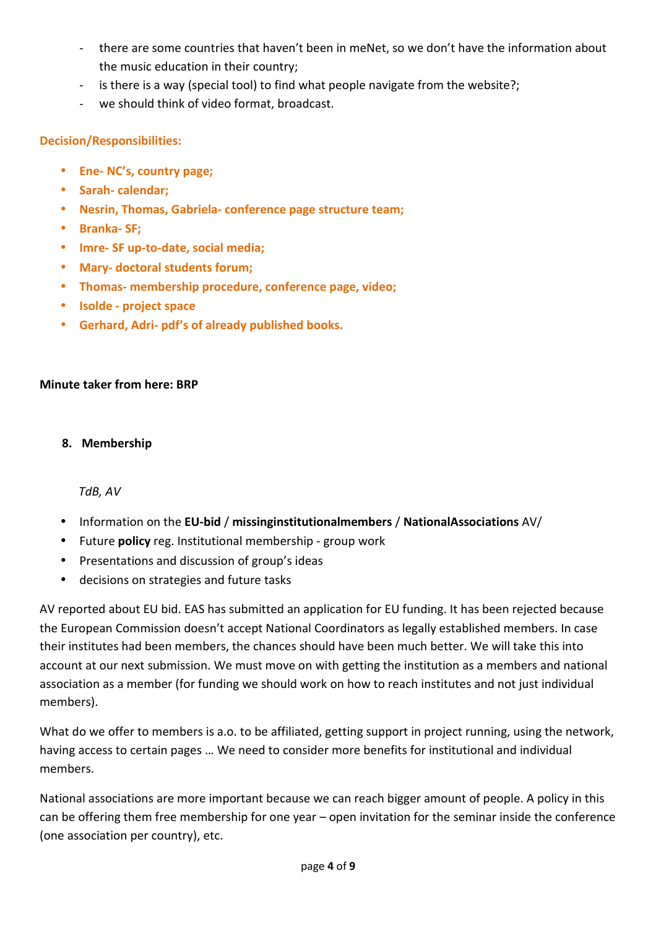- there are some countries that haven't been in meNet, so we don't have the information about the music education in their country;
- is there is a way (special tool) to find what people navigate from the website?;
- we should think of video format, broadcast.

# **Decision/Responsibilities:**

- **Ene- NC's, country page;**
- **Sarah- calendar;**
- **Nesrin, Thomas, Gabriela- conference page structure team;**
- **Branka- SF;**
- **Imre- SF up-to-date, social media;**
- **Mary- doctoral students forum;**
- **Thomas- membership procedure, conference page, video;**
- **Isolde project space**
- **Gerhard, Adri- pdf's of already published books.**

# **Minute taker from here: BRP**

# **8. Membership**

# *TdB, AV*

- Information on the **EU-bid** / **missinginstitutionalmembers** / **NationalAssociations** AV/
- Future **policy** reg. Institutional membership group work
- Presentations and discussion of group's ideas
- decisions on strategies and future tasks

AV reported about EU bid. EAS has submitted an application for EU funding. It has been rejected because the European Commission doesn't accept National Coordinators as legally established members. In case their institutes had been members, the chances should have been much better. We will take this into account at our next submission. We must move on with getting the institution as a members and national association as a member (for funding we should work on how to reach institutes and not just individual members).

What do we offer to members is a.o. to be affiliated, getting support in project running, using the network, having access to certain pages … We need to consider more benefits for institutional and individual members.

National associations are more important because we can reach bigger amount of people. A policy in this can be offering them free membership for one year – open invitation for the seminar inside the conference (one association per country), etc.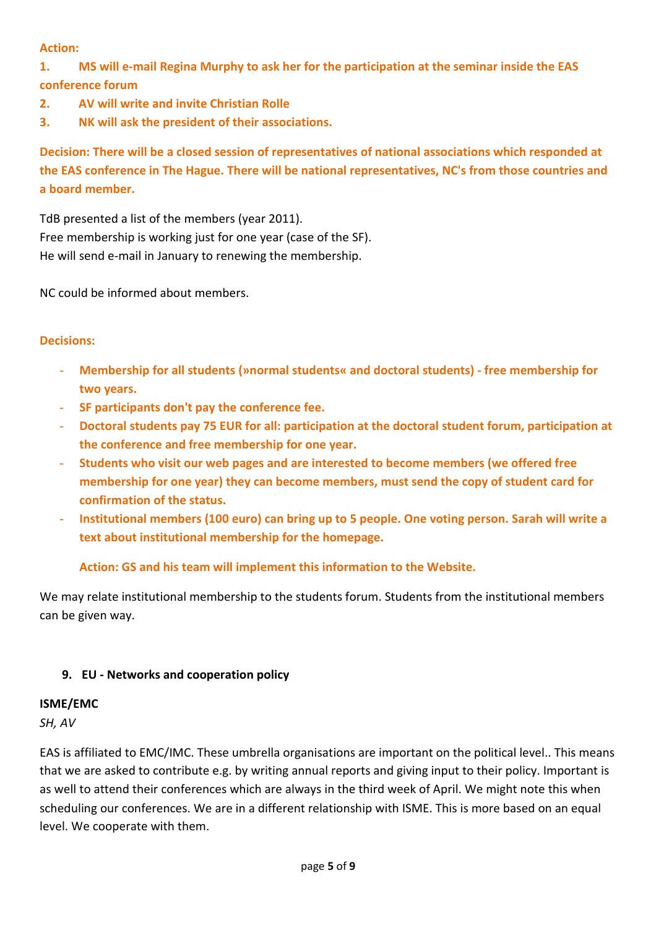**Action:** 

**1. MS will e-mail Regina Murphy to ask her for the participation at the seminar inside the EAS conference forum** 

- **2. AV will write and invite Christian Rolle**
- **3. NK will ask the president of their associations.**

**Decision: There will be a closed session of representatives of national associations which responded at the EAS conference in The Hague. There will be national representatives, NC's from those countries and a board member.** 

TdB presented a list of the members (year 2011). Free membership is working just for one year (case of the SF). He will send e-mail in January to renewing the membership.

NC could be informed about members.

## **Decisions:**

- **Membership for all students (»normal students« and doctoral students) free membership for two years.**
- **SF participants don't pay the conference fee.**
- **Doctoral students pay 75 EUR for all: participation at the doctoral student forum, participation at the conference and free membership for one year.**
- **Students who visit our web pages and are interested to become members (we offered free membership for one year) they can become members, must send the copy of student card for confirmation of the status.**
- **Institutional members (100 euro) can bring up to 5 people. One voting person. Sarah will write a text about institutional membership for the homepage.**

**Action: GS and his team will implement this information to the Website.** 

We may relate institutional membership to the students forum. Students from the institutional members can be given way.

# **9. EU - Networks and cooperation policy**

## **ISME/EMC**

*SH, AV* 

EAS is affiliated to EMC/IMC. These umbrella organisations are important on the political level.. This means that we are asked to contribute e.g. by writing annual reports and giving input to their policy. Important is as well to attend their conferences which are always in the third week of April. We might note this when scheduling our conferences. We are in a different relationship with ISME. This is more based on an equal level. We cooperate with them.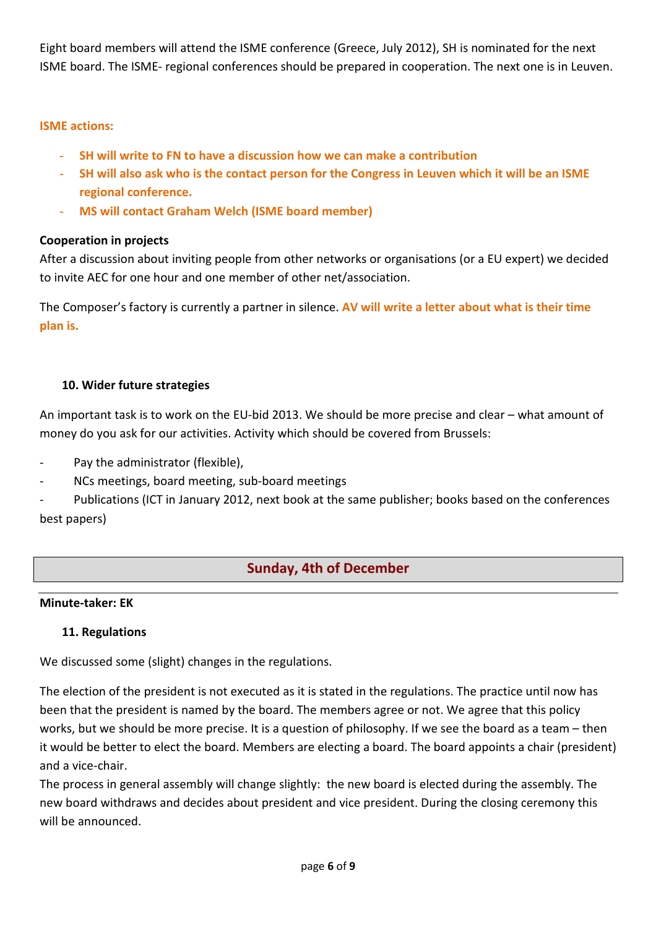Eight board members will attend the ISME conference (Greece, July 2012), SH is nominated for the next ISME board. The ISME- regional conferences should be prepared in cooperation. The next one is in Leuven.

## **ISME actions:**

- **SH will write to FN to have a discussion how we can make a contribution**
- **SH will also ask who is the contact person for the Congress in Leuven which it will be an ISME regional conference.**
- **MS will contact Graham Welch (ISME board member)**

## **Cooperation in projects**

After a discussion about inviting people from other networks or organisations (or a EU expert) we decided to invite AEC for one hour and one member of other net/association.

The Composer's factory is currently a partner in silence. **AV will write a letter about what is their time plan is.** 

## **10. Wider future strategies**

An important task is to work on the EU-bid 2013. We should be more precise and clear – what amount of money do you ask for our activities. Activity which should be covered from Brussels:

- Pay the administrator (flexible),
- NCs meetings, board meeting, sub-board meetings

Publications (ICT in January 2012, next book at the same publisher; books based on the conferences best papers)

# **Sunday, 4th of December**

## **Minute-taker: EK**

## **11. Regulations**

We discussed some (slight) changes in the regulations.

The election of the president is not executed as it is stated in the regulations. The practice until now has been that the president is named by the board. The members agree or not. We agree that this policy works, but we should be more precise. It is a question of philosophy. If we see the board as a team – then it would be better to elect the board. Members are electing a board. The board appoints a chair (president) and a vice-chair.

The process in general assembly will change slightly: the new board is elected during the assembly. The new board withdraws and decides about president and vice president. During the closing ceremony this will be announced.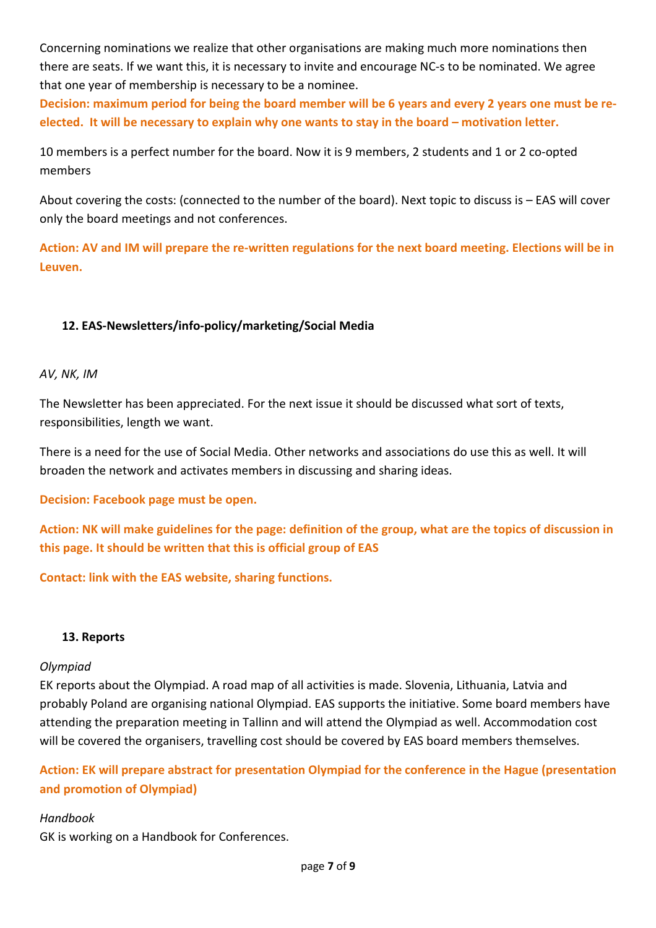Concerning nominations we realize that other organisations are making much more nominations then there are seats. If we want this, it is necessary to invite and encourage NC-s to be nominated. We agree that one year of membership is necessary to be a nominee.

**Decision: maximum period for being the board member will be 6 years and every 2 years one must be reelected. It will be necessary to explain why one wants to stay in the board – motivation letter.** 

10 members is a perfect number for the board. Now it is 9 members, 2 students and 1 or 2 co-opted members

About covering the costs: (connected to the number of the board). Next topic to discuss is – EAS will cover only the board meetings and not conferences.

**Action: AV and IM will prepare the re-written regulations for the next board meeting. Elections will be in Leuven.** 

# **12. EAS-Newsletters/info-policy/marketing/Social Media**

#### *AV, NK, IM*

The Newsletter has been appreciated. For the next issue it should be discussed what sort of texts, responsibilities, length we want.

There is a need for the use of Social Media. Other networks and associations do use this as well. It will broaden the network and activates members in discussing and sharing ideas.

**Decision: Facebook page must be open.** 

**Action: NK will make guidelines for the page: definition of the group, what are the topics of discussion in this page. It should be written that this is official group of EAS** 

**Contact: link with the EAS website, sharing functions.** 

#### **13. Reports**

#### *Olympiad*

EK reports about the Olympiad. A road map of all activities is made. Slovenia, Lithuania, Latvia and probably Poland are organising national Olympiad. EAS supports the initiative. Some board members have attending the preparation meeting in Tallinn and will attend the Olympiad as well. Accommodation cost will be covered the organisers, travelling cost should be covered by EAS board members themselves.

**Action: EK will prepare abstract for presentation Olympiad for the conference in the Hague (presentation and promotion of Olympiad)** 

#### *Handbook*

GK is working on a Handbook for Conferences.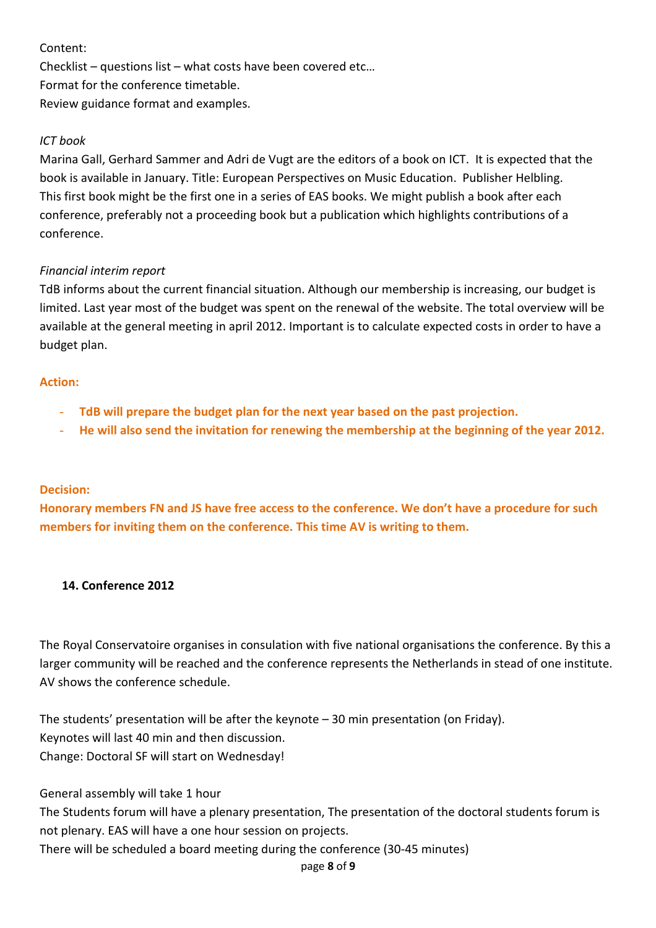# Content:

Checklist – questions list – what costs have been covered etc… Format for the conference timetable. Review guidance format and examples.

# *ICT book*

Marina Gall, Gerhard Sammer and Adri de Vugt are the editors of a book on ICT. It is expected that the book is available in January. Title: European Perspectives on Music Education. Publisher Helbling. This first book might be the first one in a series of EAS books. We might publish a book after each conference, preferably not a proceeding book but a publication which highlights contributions of a conference.

# *Financial interim report*

TdB informs about the current financial situation. Although our membership is increasing, our budget is limited. Last year most of the budget was spent on the renewal of the website. The total overview will be available at the general meeting in april 2012. Important is to calculate expected costs in order to have a budget plan.

## **Action:**

- **TdB will prepare the budget plan for the next year based on the past projection.**
- **He will also send the invitation for renewing the membership at the beginning of the year 2012.**

## **Decision:**

**Honorary members FN and JS have free access to the conference. We don't have a procedure for such members for inviting them on the conference. This time AV is writing to them.** 

## **14. Conference 2012**

The Royal Conservatoire organises in consulation with five national organisations the conference. By this a larger community will be reached and the conference represents the Netherlands in stead of one institute. AV shows the conference schedule.

The students' presentation will be after the keynote – 30 min presentation (on Friday). Keynotes will last 40 min and then discussion. Change: Doctoral SF will start on Wednesday!

General assembly will take 1 hour

The Students forum will have a plenary presentation, The presentation of the doctoral students forum is not plenary. EAS will have a one hour session on projects. There will be scheduled a board meeting during the conference (30-45 minutes)

page **8** of **9**